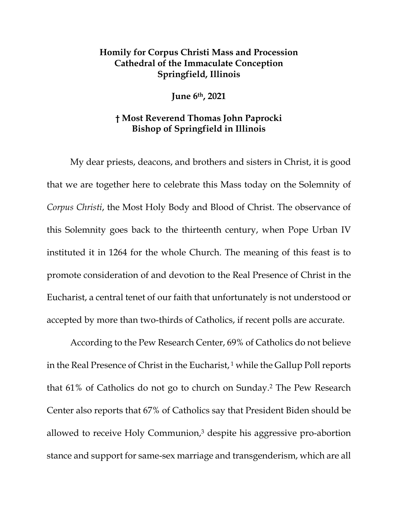## **Homily for Corpus Christi Mass and Procession Cathedral of the Immaculate Conception Springfield, Illinois**

**June 6th, 2021** 

## **† Most Reverend Thomas John Paprocki Bishop of Springfield in Illinois**

My dear priests, deacons, and brothers and sisters in Christ, it is good that we are together here to celebrate this Mass today on the Solemnity of *Corpus Christi*, the Most Holy Body and Blood of Christ. The observance of this Solemnity goes back to the thirteenth century, when Pope Urban IV instituted it in 1264 for the whole Church. The meaning of this feast is to promote consideration of and devotion to the Real Presence of Christ in the Eucharist, a central tenet of our faith that unfortunately is not understood or accepted by more than two-thirds of Catholics, if recent polls are accurate.

According to the Pew Research Center, 69% of Catholics do not believe in the Real Presence of Christ in the Eucharist,  $1$  while the Gallup Poll reports that 61% of Catholics do not go to church on Sunday.2 The Pew Research Center also reports that 67% of Catholics say that President Biden should be allowed to receive Holy Communion,3 despite his aggressive pro-abortion stance and support for same-sex marriage and transgenderism, which are all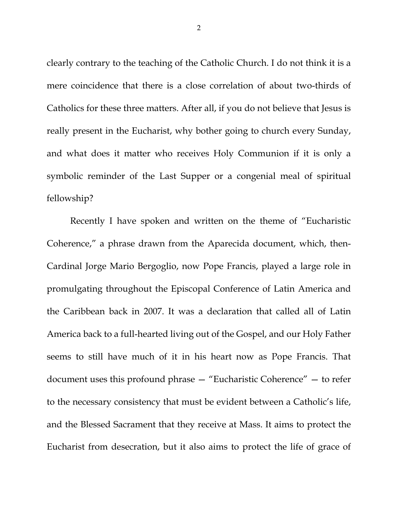clearly contrary to the teaching of the Catholic Church. I do not think it is a mere coincidence that there is a close correlation of about two-thirds of Catholics for these three matters. After all, if you do not believe that Jesus is really present in the Eucharist, why bother going to church every Sunday, and what does it matter who receives Holy Communion if it is only a symbolic reminder of the Last Supper or a congenial meal of spiritual fellowship?

Recently I have spoken and written on the theme of "Eucharistic Coherence," a phrase drawn from the Aparecida document, which, then-Cardinal Jorge Mario Bergoglio, now Pope Francis, played a large role in promulgating throughout the Episcopal Conference of Latin America and the Caribbean back in 2007. It was a declaration that called all of Latin America back to a full-hearted living out of the Gospel, and our Holy Father seems to still have much of it in his heart now as Pope Francis. That document uses this profound phrase — "Eucharistic Coherence" — to refer to the necessary consistency that must be evident between a Catholic's life, and the Blessed Sacrament that they receive at Mass. It aims to protect the Eucharist from desecration, but it also aims to protect the life of grace of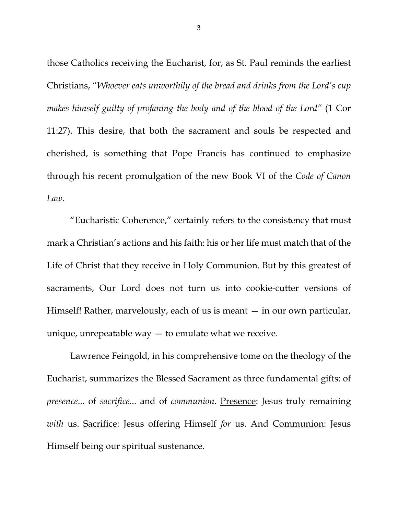those Catholics receiving the Eucharist, for, as St. Paul reminds the earliest Christians, "*Whoever eats unworthily of the bread and drinks from the Lord's cup makes himself guilty of profaning the body and of the blood of the Lord"* (1 Cor 11:27). This desire, that both the sacrament and souls be respected and cherished, is something that Pope Francis has continued to emphasize through his recent promulgation of the new Book VI of the *Code of Canon Law.*

"Eucharistic Coherence," certainly refers to the consistency that must mark a Christian's actions and his faith: his or her life must match that of the Life of Christ that they receive in Holy Communion. But by this greatest of sacraments, Our Lord does not turn us into cookie-cutter versions of Himself! Rather, marvelously, each of us is meant – in our own particular, unique, unrepeatable way  $-$  to emulate what we receive.

Lawrence Feingold, in his comprehensive tome on the theology of the Eucharist, summarizes the Blessed Sacrament as three fundamental gifts: of *presence*... of *sacrifice*... and of *communion*. Presence: Jesus truly remaining *with* us. Sacrifice: Jesus offering Himself *for* us. And Communion: Jesus Himself being our spiritual sustenance.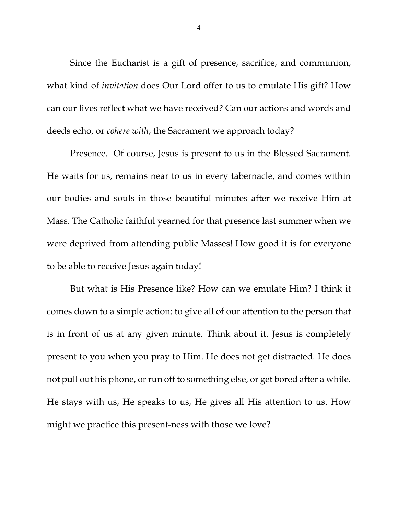Since the Eucharist is a gift of presence, sacrifice, and communion, what kind of *invitation* does Our Lord offer to us to emulate His gift? How can our lives reflect what we have received? Can our actions and words and deeds echo, or *cohere with*, the Sacrament we approach today?

Presence. Of course, Jesus is present to us in the Blessed Sacrament. He waits for us, remains near to us in every tabernacle, and comes within our bodies and souls in those beautiful minutes after we receive Him at Mass. The Catholic faithful yearned for that presence last summer when we were deprived from attending public Masses! How good it is for everyone to be able to receive Jesus again today!

But what is His Presence like? How can we emulate Him? I think it comes down to a simple action: to give all of our attention to the person that is in front of us at any given minute. Think about it. Jesus is completely present to you when you pray to Him. He does not get distracted. He does not pull out his phone, or run off to something else, or get bored after a while. He stays with us, He speaks to us, He gives all His attention to us. How might we practice this present-ness with those we love?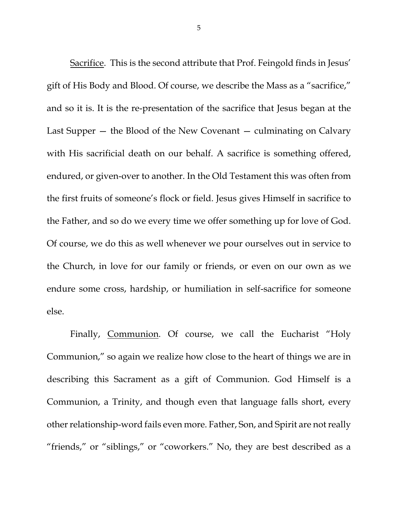Sacrifice. This is the second attribute that Prof. Feingold finds in Jesus' gift of His Body and Blood. Of course, we describe the Mass as a "sacrifice," and so it is. It is the re-presentation of the sacrifice that Jesus began at the Last Supper — the Blood of the New Covenant — culminating on Calvary with His sacrificial death on our behalf. A sacrifice is something offered, endured, or given-over to another. In the Old Testament this was often from the first fruits of someone's flock or field. Jesus gives Himself in sacrifice to the Father, and so do we every time we offer something up for love of God. Of course, we do this as well whenever we pour ourselves out in service to the Church, in love for our family or friends, or even on our own as we endure some cross, hardship, or humiliation in self-sacrifice for someone else.

Finally, Communion. Of course, we call the Eucharist "Holy Communion," so again we realize how close to the heart of things we are in describing this Sacrament as a gift of Communion. God Himself is a Communion, a Trinity, and though even that language falls short, every other relationship-word fails even more. Father, Son, and Spirit are not really "friends," or "siblings," or "coworkers." No, they are best described as a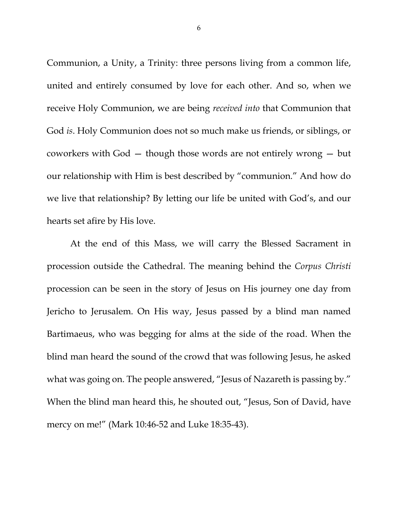Communion, a Unity, a Trinity: three persons living from a common life, united and entirely consumed by love for each other. And so, when we receive Holy Communion, we are being *received into* that Communion that God *is*. Holy Communion does not so much make us friends, or siblings, or coworkers with God — though those words are not entirely wrong — but our relationship with Him is best described by "communion." And how do we live that relationship? By letting our life be united with God's, and our hearts set afire by His love.

At the end of this Mass, we will carry the Blessed Sacrament in procession outside the Cathedral. The meaning behind the *Corpus Christi* procession can be seen in the story of Jesus on His journey one day from Jericho to Jerusalem. On His way, Jesus passed by a blind man named Bartimaeus, who was begging for alms at the side of the road. When the blind man heard the sound of the crowd that was following Jesus, he asked what was going on. The people answered, "Jesus of Nazareth is passing by." When the blind man heard this, he shouted out, "Jesus, Son of David, have mercy on me!" (Mark 10:46-52 and Luke 18:35-43).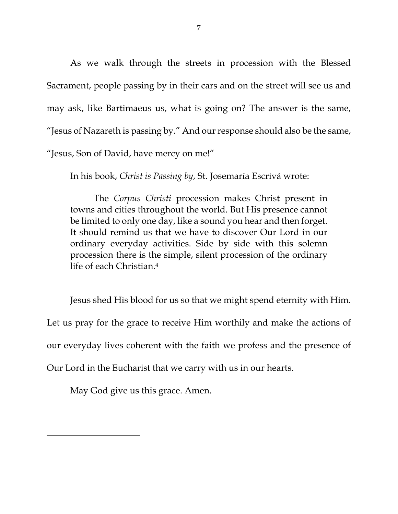As we walk through the streets in procession with the Blessed Sacrament, people passing by in their cars and on the street will see us and may ask, like Bartimaeus us, what is going on? The answer is the same, "Jesus of Nazareth is passing by." And our response should also be the same, "Jesus, Son of David, have mercy on me!"

In his book, *Christ is Passing by*, St. Josemaría Escrivá wrote:

The *Corpus Christi* procession makes Christ present in towns and cities throughout the world. But His presence cannot be limited to only one day, like a sound you hear and then forget. It should remind us that we have to discover Our Lord in our ordinary everyday activities. Side by side with this solemn procession there is the simple, silent procession of the ordinary life of each Christian.4

Jesus shed His blood for us so that we might spend eternity with Him. Let us pray for the grace to receive Him worthily and make the actions of our everyday lives coherent with the faith we profess and the presence of Our Lord in the Eucharist that we carry with us in our hearts.

May God give us this grace. Amen.